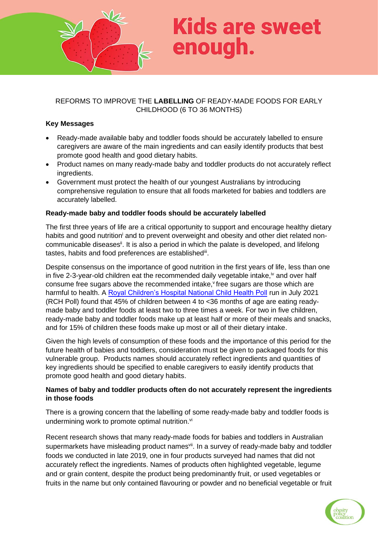

# **Kids are sweet** enough.

# REFORMS TO IMPROVE THE **LABELLING** OF READY-MADE FOODS FOR EARLY CHILDHOOD (6 TO 36 MONTHS)

#### **Key Messages**

- Ready-made available baby and toddler foods should be accurately labelled to ensure caregivers are aware of the main ingredients and can easily identify products that best promote good health and good dietary habits.
- Product names on many ready-made baby and toddler products do not accurately reflect ingredients.
- Government must protect the health of our youngest Australians by introducing comprehensive regulation to ensure that all foods marketed for babies and toddlers are accurately labelled.

#### **Ready-made baby and toddler foods should be accurately labelled**

The first three years of life are a critical opportunity to support and encourage healthy dietary habits and good nutrition<sup>i</sup> and to prevent overweight and obesity and other diet related noncommunicable diseases<sup>i</sup>. It is also a period in which the palate is developed, and lifelong tastes, habits and food preferences are established<sup>iii</sup>.

Despite consensus on the importance of good nutrition in the first years of life, less than one in five 2-3-year-old children eat the recommended daily vegetable intake, $\dot{v}$  and over half consume free sugars above the recommended intake, free sugars are those which are harmful to health. A [Royal Children's Hospital National Child Health Poll](https://www.rchpoll.org.au/polls/ready-made-baby-foods-do-parents-know-the-facts/) run in July 2021 (RCH Poll) found that 45% of children between 4 to <36 months of age are eating readymade baby and toddler foods at least two to three times a week. For two in five children, ready-made baby and toddler foods make up at least half or more of their meals and snacks, and for 15% of children these foods make up most or all of their dietary intake.

Given the high levels of consumption of these foods and the importance of this period for the future health of babies and toddlers, consideration must be given to packaged foods for this vulnerable group. Products names should accurately reflect ingredients and quantities of key ingredients should be specified to enable caregivers to easily identify products that promote good health and good dietary habits.

#### **Names of baby and toddler products often do not accurately represent the ingredients in those foods**

There is a growing concern that the labelling of some ready-made baby and toddler foods is undermining work to promote optimal nutrition.<sup>vi</sup>

Recent research shows that many ready-made foods for babies and toddlers in Australian supermarkets have misleading product names<sup>vii</sup>. In a survey of ready-made baby and toddler foods we conducted in late 2019, one in four products surveyed had names that did not accurately reflect the ingredients. Names of products often highlighted vegetable, legume and or grain content, despite the product being predominantly fruit, or used vegetables or fruits in the name but only contained flavouring or powder and no beneficial vegetable or fruit